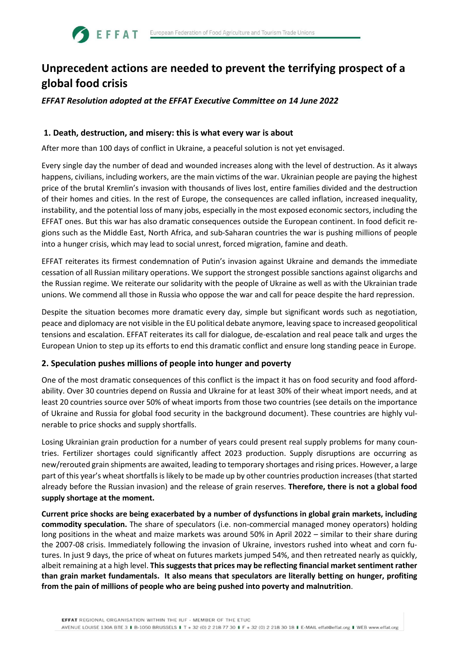# **Unprecedent actions are needed to prevent the terrifying prospect of a global food crisis**

# *EFFAT Resolution adopted at the EFFAT Executive Committee on 14 June 2022*

## **1. Death, destruction, and misery: this is what every war is about**

**SEFFAT** 

After more than 100 days of conflict in Ukraine, a peaceful solution is not yet envisaged.

Every single day the number of dead and wounded increases along with the level of destruction. As it always happens, civilians, including workers, are the main victims of the war. Ukrainian people are paying the highest price of the brutal Kremlin's invasion with thousands of lives lost, entire families divided and the destruction of their homes and cities. In the rest of Europe, the consequences are called inflation, increased inequality, instability, and the potential loss of many jobs, especially in the most exposed economic sectors, including the EFFAT ones. But this war has also dramatic consequences outside the European continent. In food deficit regions such as the Middle East, North Africa, and sub-Saharan countries the war is pushing millions of people into a hunger crisis, which may lead to social unrest, forced migration, famine and death.

EFFAT reiterates its firmest condemnation of Putin's invasion against Ukraine and demands the immediate cessation of all Russian military operations. We support the strongest possible sanctions against oligarchs and the Russian regime. We reiterate our solidarity with the people of Ukraine as well as with the Ukrainian trade unions. We commend all those in Russia who oppose the war and call for peace despite the hard repression.

Despite the situation becomes more dramatic every day, simple but significant words such as negotiation, peace and diplomacy are not visible in the EU political debate anymore, leaving space to increased geopolitical tensions and escalation. EFFAT reiterates its call for dialogue, de-escalation and real peace talk and urges the European Union to step up its efforts to end this dramatic conflict and ensure long standing peace in Europe.

## **2. Speculation pushes millions of people into hunger and poverty**

One of the most dramatic consequences of this conflict is the impact it has on food security and food affordability. Over 30 countries depend on Russia and Ukraine for at least 30% of their wheat import needs, and at least 20 countries source over 50% of wheat imports from those two countries (see details on the importance of Ukraine and Russia for global food security in the background document). These countries are highly vulnerable to price shocks and supply shortfalls.

Losing Ukrainian grain production for a number of years could present real supply problems for many countries. Fertilizer shortages could significantly affect 2023 production. Supply disruptions are occurring as new/rerouted grain shipments are awaited, leading to temporary shortages and rising prices. However, a large part of this year's wheat shortfalls is likely to be made up by other countries production increases (that started already before the Russian invasion) and the release of grain reserves. **Therefore, there is not a global food supply shortage at the moment.**

**Current price shocks are being exacerbated by a number of dysfunctions in global grain markets, including commodity speculation.** The share of speculators (i.e. non-commercial managed money operators) holding long positions in the wheat and maize markets was around 50% in April 2022 – similar to their share during the 2007-08 crisis. Immediately following the invasion of Ukraine, investors rushed into wheat and corn futures. In just 9 days, the price of wheat on futures markets jumped 54%, and then retreated nearly as quickly, albeit remaining at a high level. **This suggests that prices may be reflecting financial market sentiment rather than grain market fundamentals. It also means that speculators are literally betting on hunger, profiting from the pain of millions of people who are being pushed into poverty and malnutrition**.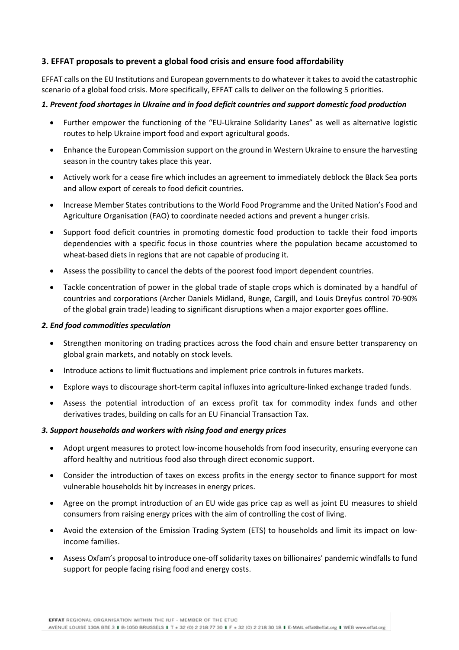# **3. EFFAT proposals to prevent a global food crisis and ensure food affordability**

EFFAT calls on the EU Institutions and European governments to do whatever it takes to avoid the catastrophic scenario of a global food crisis. More specifically, EFFAT calls to deliver on the following 5 priorities.

### *1. Prevent food shortages in Ukraine and in food deficit countries and support domestic food production*

- Further empower the functioning of the "EU-Ukraine Solidarity Lanes" as well as alternative logistic routes to help Ukraine import food and export agricultural goods.
- Enhance the European Commission support on the ground in Western Ukraine to ensure the harvesting season in the country takes place this year.
- Actively work for a cease fire which includes an agreement to immediately deblock the Black Sea ports and allow export of cereals to food deficit countries.
- Increase Member States contributions to the World Food Programme and the United Nation's Food and Agriculture Organisation (FAO) to coordinate needed actions and prevent a hunger crisis.
- Support food deficit countries in promoting domestic food production to tackle their food imports dependencies with a specific focus in those countries where the population became accustomed to wheat-based diets in regions that are not capable of producing it.
- Assess the possibility to cancel the debts of the poorest food import dependent countries.
- Tackle concentration of power in the global trade of staple crops which is dominated by a handful of countries and corporations (Archer Daniels Midland, Bunge, Cargill, and Louis Dreyfus control 70-90% of the global grain trade) leading to significant disruptions when a major exporter goes offline.

#### *2. End food commodities speculation*

- Strengthen monitoring on trading practices across the food chain and ensure better transparency on global grain markets, and notably on stock levels.
- Introduce actions to limit fluctuations and implement price controls in futures markets.
- Explore ways to discourage short-term capital influxes into agriculture-linked exchange traded funds.
- Assess the potential introduction of an excess profit tax for commodity index funds and other derivatives trades, building on calls for an EU Financial Transaction Tax.

#### *3. Support households and workers with rising food and energy prices*

- Adopt urgent measures to protect low-income households from food insecurity, ensuring everyone can afford healthy and nutritious food also through direct economic support.
- Consider the introduction of taxes on excess profits in the energy sector to finance support for most vulnerable households hit by increases in energy prices.
- Agree on the prompt introduction of an EU wide gas price cap as well as joint EU measures to shield consumers from raising energy prices with the aim of controlling the cost of living.
- Avoid the extension of the Emission Trading System (ETS) to households and limit its impact on lowincome families.
- Assess Oxfam's proposal to introduce one-off solidarity taxes on billionaires' pandemic windfalls to fund support for people facing rising food and energy costs.